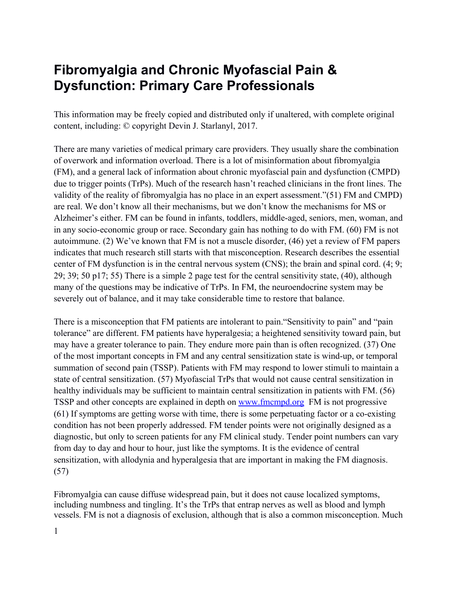## **Fibromyalgia and Chronic Myofascial Pain & Dysfunction: Primary Care Professionals**

This information may be freely copied and distributed only if unaltered, with complete original content, including: © copyright Devin J. Starlanyl, 2017.

There are many varieties of medical primary care providers. They usually share the combination of overwork and information overload. There is a lot of misinformation about fibromyalgia (FM), and a general lack of information about chronic myofascial pain and dysfunction (CMPD) due to trigger points (TrPs). Much of the research hasn't reached clinicians in the front lines. The validity of the reality of fibromyalgia has no place in an expert assessment."(51) FM and CMPD) are real. We don't know all their mechanisms, but we don't know the mechanisms for MS or Alzheimer's either. FM can be found in infants, toddlers, middle-aged, seniors, men, woman, and in any socio-economic group or race. Secondary gain has nothing to do with FM. (60) FM is not autoimmune. (2) We've known that FM is not a muscle disorder, (46) yet a review of FM papers indicates that much research still starts with that misconception. Research describes the essential center of FM dysfunction is in the central nervous system (CNS); the brain and spinal cord. (4; 9; 29; 39; 50 p17; 55) There is a simple 2 page test for the central sensitivity state, (40), although many of the questions may be indicative of TrPs. In FM, the neuroendocrine system may be severely out of balance, and it may take considerable time to restore that balance.

There is a misconception that FM patients are intolerant to pain."Sensitivity to pain" and "pain tolerance" are different. FM patients have hyperalgesia; a heightened sensitivity toward pain, but may have a greater tolerance to pain. They endure more pain than is often recognized. (37) One of the most important concepts in FM and any central sensitization state is wind-up, or temporal summation of second pain (TSSP). Patients with FM may respond to lower stimuli to maintain a state of central sensitization. (57) Myofascial TrPs that would not cause central sensitization in healthy individuals may be sufficient to maintain central sensitization in patients with FM. (56) TSSP and other concepts are explained in depth on [www.fmcmpd.org](http://www.fmcmpd.org/) FM is not progressive (61) If symptoms are getting worse with time, there is some perpetuating factor or a co-existing condition has not been properly addressed. FM tender points were not originally designed as a diagnostic, but only to screen patients for any FM clinical study. Tender point numbers can vary from day to day and hour to hour, just like the symptoms. It is the evidence of central sensitization, with allodynia and hyperalgesia that are important in making the FM diagnosis. (57)

Fibromyalgia can cause diffuse widespread pain, but it does not cause localized symptoms, including numbness and tingling. It's the TrPs that entrap nerves as well as blood and lymph vessels. FM is not a diagnosis of exclusion, although that is also a common misconception. Much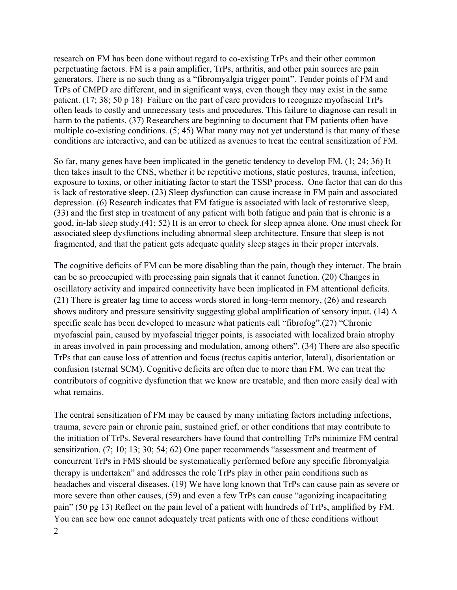research on FM has been done without regard to co-existing TrPs and their other common perpetuating factors. FM is a pain amplifier, TrPs, arthritis, and other pain sources are pain generators. There is no such thing as a "fibromyalgia trigger point". Tender points of FM and TrPs of CMPD are different, and in significant ways, even though they may exist in the same patient. (17; 38; 50 p 18) Failure on the part of care providers to recognize myofascial TrPs often leads to costly and unnecessary tests and procedures. This failure to diagnose can result in harm to the patients. (37) Researchers are beginning to document that FM patients often have multiple co-existing conditions. (5; 45) What many may not yet understand is that many of these conditions are interactive, and can be utilized as avenues to treat the central sensitization of FM.

So far, many genes have been implicated in the genetic tendency to develop FM. (1; 24; 36) It then takes insult to the CNS, whether it be repetitive motions, static postures, trauma, infection, exposure to toxins, or other initiating factor to start the TSSP process. One factor that can do this is lack of restorative sleep. (23) Sleep dysfunction can cause increase in FM pain and associated depression. (6) Research indicates that FM fatigue is associated with lack of restorative sleep, (33) and the first step in treatment of any patient with both fatigue and pain that is chronic is a good, in-lab sleep study.(41; 52) It is an error to check for sleep apnea alone. One must check for associated sleep dysfunctions including abnormal sleep architecture. Ensure that sleep is not fragmented, and that the patient gets adequate quality sleep stages in their proper intervals.

The cognitive deficits of FM can be more disabling than the pain, though they interact. The brain can be so preoccupied with processing pain signals that it cannot function. (20) Changes in oscillatory activity and impaired connectivity have been implicated in FM attentional deficits. (21) There is greater lag time to access words stored in long-term memory, (26) and research shows auditory and pressure sensitivity suggesting global amplification of sensory input. (14) A specific scale has been developed to measure what patients call "fibrofog".(27) "Chronic myofascial pain, caused by myofascial trigger points, is associated with localized brain atrophy in areas involved in pain processing and modulation, among others". (34) There are also specific TrPs that can cause loss of attention and focus (rectus capitis anterior, lateral), disorientation or confusion (sternal SCM). Cognitive deficits are often due to more than FM. We can treat the contributors of cognitive dysfunction that we know are treatable, and then more easily deal with what remains.

The central sensitization of FM may be caused by many initiating factors including infections, trauma, severe pain or chronic pain, sustained grief, or other conditions that may contribute to the initiation of TrPs. Several researchers have found that controlling TrPs minimize FM central sensitization. (7; 10; 13; 30; 54; 62) One paper recommends "assessment and treatment of concurrent TrPs in FMS should be systematically performed before any specific fibromyalgia therapy is undertaken" and addresses the role TrPs play in other pain conditions such as headaches and visceral diseases. (19) We have long known that TrPs can cause pain as severe or more severe than other causes, (59) and even a few TrPs can cause "agonizing incapacitating pain" (50 pg 13) Reflect on the pain level of a patient with hundreds of TrPs, amplified by FM. You can see how one cannot adequately treat patients with one of these conditions without 2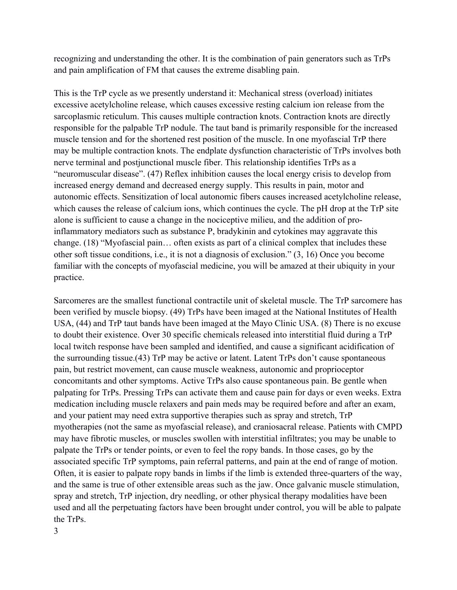recognizing and understanding the other. It is the combination of pain generators such as TrPs and pain amplification of FM that causes the extreme disabling pain.

This is the TrP cycle as we presently understand it: Mechanical stress (overload) initiates excessive acetylcholine release, which causes excessive resting calcium ion release from the sarcoplasmic reticulum. This causes multiple contraction knots. Contraction knots are directly responsible for the palpable TrP nodule. The taut band is primarily responsible for the increased muscle tension and for the shortened rest position of the muscle. In one myofascial TrP there may be multiple contraction knots. The endplate dysfunction characteristic of TrPs involves both nerve terminal and postjunctional muscle fiber. This relationship identifies TrPs as a "neuromuscular disease". (47) Reflex inhibition causes the local energy crisis to develop from increased energy demand and decreased energy supply. This results in pain, motor and autonomic effects. Sensitization of local autonomic fibers causes increased acetylcholine release, which causes the release of calcium ions, which continues the cycle. The pH drop at the TrP site alone is sufficient to cause a change in the nociceptive milieu, and the addition of proinflammatory mediators such as substance P, bradykinin and cytokines may aggravate this change. (18) "Myofascial pain… often exists as part of a clinical complex that includes these other soft tissue conditions, i.e., it is not a diagnosis of exclusion." (3, 16) Once you become familiar with the concepts of myofascial medicine, you will be amazed at their ubiquity in your practice.

Sarcomeres are the smallest functional contractile unit of skeletal muscle. The TrP sarcomere has been verified by muscle biopsy. (49) TrPs have been imaged at the National Institutes of Health USA, (44) and TrP taut bands have been imaged at the Mayo Clinic USA. (8) There is no excuse to doubt their existence. Over 30 specific chemicals released into interstitial fluid during a TrP local twitch response have been sampled and identified, and cause a significant acidification of the surrounding tissue.(43) TrP may be active or latent. Latent TrPs don't cause spontaneous pain, but restrict movement, can cause muscle weakness, autonomic and proprioceptor concomitants and other symptoms. Active TrPs also cause spontaneous pain. Be gentle when palpating for TrPs. Pressing TrPs can activate them and cause pain for days or even weeks. Extra medication including muscle relaxers and pain meds may be required before and after an exam, and your patient may need extra supportive therapies such as spray and stretch, TrP myotherapies (not the same as myofascial release), and craniosacral release. Patients with CMPD may have fibrotic muscles, or muscles swollen with interstitial infiltrates; you may be unable to palpate the TrPs or tender points, or even to feel the ropy bands. In those cases, go by the associated specific TrP symptoms, pain referral patterns, and pain at the end of range of motion. Often, it is easier to palpate ropy bands in limbs if the limb is extended three-quarters of the way, and the same is true of other extensible areas such as the jaw. Once galvanic muscle stimulation, spray and stretch, TrP injection, dry needling, or other physical therapy modalities have been used and all the perpetuating factors have been brought under control, you will be able to palpate the TrPs.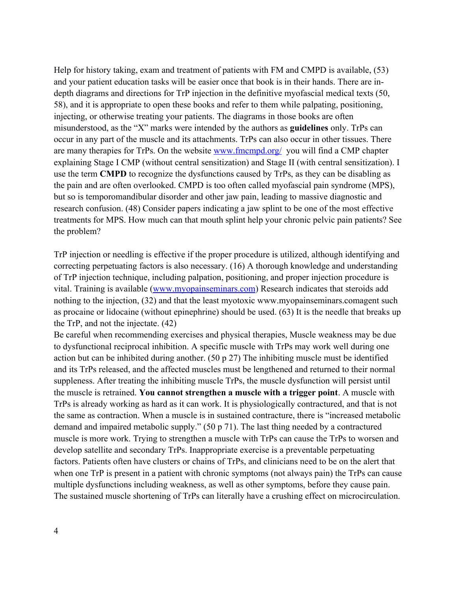Help for history taking, exam and treatment of patients with FM and CMPD is available, (53) and your patient education tasks will be easier once that book is in their hands. There are indepth diagrams and directions for TrP injection in the definitive myofascial medical texts (50, 58), and it is appropriate to open these books and refer to them while palpating, positioning, injecting, or otherwise treating your patients. The diagrams in those books are often misunderstood, as the "X" marks were intended by the authors as **guidelines** only. TrPs can occur in any part of the muscle and its attachments. TrPs can also occur in other tissues. There are many therapies for TrPs. On the website [www.fmcmpd.org/](http://www.fmcmpd.org/) you will find a CMP chapter explaining Stage I CMP (without central sensitization) and Stage II (with central sensitization). I use the term **CMPD** to recognize the dysfunctions caused by TrPs, as they can be disabling as the pain and are often overlooked. CMPD is too often called myofascial pain syndrome (MPS), but so is temporomandibular disorder and other jaw pain, leading to massive diagnostic and research confusion. (48) Consider papers indicating a jaw splint to be one of the most effective treatments for MPS. How much can that mouth splint help your chronic pelvic pain patients? See the problem?

TrP injection or needling is effective if the proper procedure is utilized, although identifying and correcting perpetuating factors is also necessary. (16) A thorough knowledge and understanding of TrP injection technique, including palpation, positioning, and proper injection procedure is vital. Training is available [\(www.myopainseminars.com\)](http://www.myopainseminars.com/) Research indicates that steroids add nothing to the injection, (32) and that the least myotoxic www.myopainseminars.comagent such as procaine or lidocaine (without epinephrine) should be used. (63) It is the needle that breaks up the TrP, and not the injectate. (42)

Be careful when recommending exercises and physical therapies, Muscle weakness may be due to dysfunctional reciprocal inhibition. A specific muscle with TrPs may work well during one action but can be inhibited during another. (50 p 27) The inhibiting muscle must be identified and its TrPs released, and the affected muscles must be lengthened and returned to their normal suppleness. After treating the inhibiting muscle TrPs, the muscle dysfunction will persist until the muscle is retrained. **You cannot strengthen a muscle with a trigger point**. A muscle with TrPs is already working as hard as it can work. It is physiologically contractured, and that is not the same as contraction. When a muscle is in sustained contracture, there is "increased metabolic demand and impaired metabolic supply." (50 p 71). The last thing needed by a contractured muscle is more work. Trying to strengthen a muscle with TrPs can cause the TrPs to worsen and develop satellite and secondary TrPs. Inappropriate exercise is a preventable perpetuating factors. Patients often have clusters or chains of TrPs, and clinicians need to be on the alert that when one TrP is present in a patient with chronic symptoms (not always pain) the TrPs can cause multiple dysfunctions including weakness, as well as other symptoms, before they cause pain. The sustained muscle shortening of TrPs can literally have a crushing effect on microcirculation.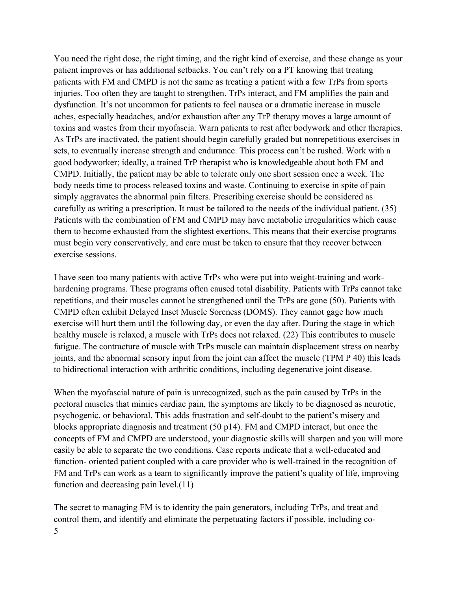You need the right dose, the right timing, and the right kind of exercise, and these change as your patient improves or has additional setbacks. You can't rely on a PT knowing that treating patients with FM and CMPD is not the same as treating a patient with a few TrPs from sports injuries. Too often they are taught to strengthen. TrPs interact, and FM amplifies the pain and dysfunction. It's not uncommon for patients to feel nausea or a dramatic increase in muscle aches, especially headaches, and/or exhaustion after any TrP therapy moves a large amount of toxins and wastes from their myofascia. Warn patients to rest after bodywork and other therapies. As TrPs are inactivated, the patient should begin carefully graded but nonrepetitious exercises in sets, to eventually increase strength and endurance. This process can't be rushed. Work with a good bodyworker; ideally, a trained TrP therapist who is knowledgeable about both FM and CMPD. Initially, the patient may be able to tolerate only one short session once a week. The body needs time to process released toxins and waste. Continuing to exercise in spite of pain simply aggravates the abnormal pain filters. Prescribing exercise should be considered as carefully as writing a prescription. It must be tailored to the needs of the individual patient. (35) Patients with the combination of FM and CMPD may have metabolic irregularities which cause them to become exhausted from the slightest exertions. This means that their exercise programs must begin very conservatively, and care must be taken to ensure that they recover between exercise sessions.

I have seen too many patients with active TrPs who were put into weight-training and workhardening programs. These programs often caused total disability. Patients with TrPs cannot take repetitions, and their muscles cannot be strengthened until the TrPs are gone (50). Patients with CMPD often exhibit Delayed Inset Muscle Soreness (DOMS). They cannot gage how much exercise will hurt them until the following day, or even the day after. During the stage in which healthy muscle is relaxed, a muscle with TrPs does not relaxed. (22) This contributes to muscle fatigue. The contracture of muscle with TrPs muscle can maintain displacement stress on nearby joints, and the abnormal sensory input from the joint can affect the muscle (TPM P 40) this leads to bidirectional interaction with arthritic conditions, including degenerative joint disease.

When the myofascial nature of pain is unrecognized, such as the pain caused by TrPs in the pectoral muscles that mimics cardiac pain, the symptoms are likely to be diagnosed as neurotic, psychogenic, or behavioral. This adds frustration and self-doubt to the patient's misery and blocks appropriate diagnosis and treatment (50 p14). FM and CMPD interact, but once the concepts of FM and CMPD are understood, your diagnostic skills will sharpen and you will more easily be able to separate the two conditions. Case reports indicate that a well-educated and function- oriented patient coupled with a care provider who is well-trained in the recognition of FM and TrPs can work as a team to significantly improve the patient's quality of life, improving function and decreasing pain level.(11)

The secret to managing FM is to identity the pain generators, including TrPs, and treat and control them, and identify and eliminate the perpetuating factors if possible, including co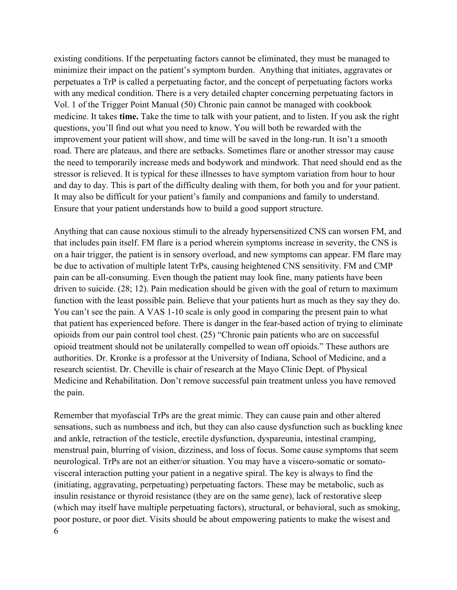existing conditions. If the perpetuating factors cannot be eliminated, they must be managed to minimize their impact on the patient's symptom burden. Anything that initiates, aggravates or perpetuates a TrP is called a perpetuating factor, and the concept of perpetuating factors works with any medical condition. There is a very detailed chapter concerning perpetuating factors in Vol. 1 of the Trigger Point Manual (50) Chronic pain cannot be managed with cookbook medicine. It takes **time.** Take the time to talk with your patient, and to listen. If you ask the right questions, you'll find out what you need to know. You will both be rewarded with the improvement your patient will show, and time will be saved in the long-run. It isn't a smooth road. There are plateaus, and there are setbacks. Sometimes flare or another stressor may cause the need to temporarily increase meds and bodywork and mindwork. That need should end as the stressor is relieved. It is typical for these illnesses to have symptom variation from hour to hour and day to day. This is part of the difficulty dealing with them, for both you and for your patient. It may also be difficult for your patient's family and companions and family to understand. Ensure that your patient understands how to build a good support structure.

Anything that can cause noxious stimuli to the already hypersensitized CNS can worsen FM, and that includes pain itself. FM flare is a period wherein symptoms increase in severity, the CNS is on a hair trigger, the patient is in sensory overload, and new symptoms can appear. FM flare may be due to activation of multiple latent TrPs, causing heightened CNS sensitivity. FM and CMP pain can be all-consuming. Even though the patient may look fine, many patients have been driven to suicide. (28; 12). Pain medication should be given with the goal of return to maximum function with the least possible pain. Believe that your patients hurt as much as they say they do. You can't see the pain. A VAS 1-10 scale is only good in comparing the present pain to what that patient has experienced before. There is danger in the fear-based action of trying to eliminate opioids from our pain control tool chest. (25) "Chronic pain patients who are on successful opioid treatment should not be unilaterally compelled to wean off opioids." These authors are authorities. Dr. Kronke is a professor at the University of Indiana, School of Medicine, and a research scientist. Dr. Cheville is chair of research at the Mayo Clinic Dept. of Physical Medicine and Rehabilitation. Don't remove successful pain treatment unless you have removed the pain.

Remember that myofascial TrPs are the great mimic. They can cause pain and other altered sensations, such as numbness and itch, but they can also cause dysfunction such as buckling knee and ankle, retraction of the testicle, erectile dysfunction, dyspareunia, intestinal cramping, menstrual pain, blurring of vision, dizziness, and loss of focus. Some cause symptoms that seem neurological. TrPs are not an either/or situation. You may have a viscero-somatic or somatovisceral interaction putting your patient in a negative spiral. The key is always to find the (initiating, aggravating, perpetuating) perpetuating factors. These may be metabolic, such as insulin resistance or thyroid resistance (they are on the same gene), lack of restorative sleep (which may itself have multiple perpetuating factors), structural, or behavioral, such as smoking, poor posture, or poor diet. Visits should be about empowering patients to make the wisest and 6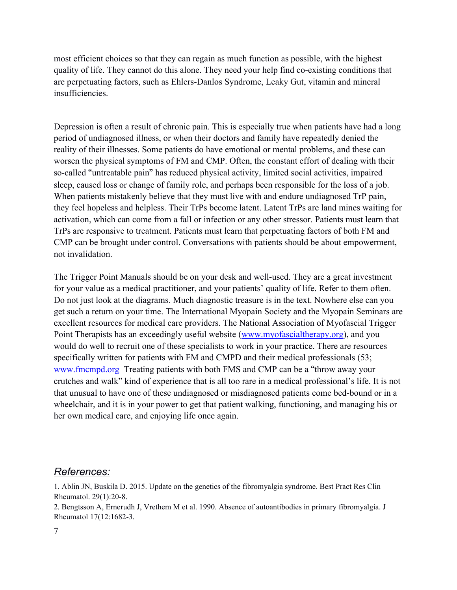most efficient choices so that they can regain as much function as possible, with the highest quality of life. They cannot do this alone. They need your help find co-existing conditions that are perpetuating factors, such as Ehlers-Danlos Syndrome, Leaky Gut, vitamin and mineral insufficiencies.

Depression is often a result of chronic pain. This is especially true when patients have had a long period of undiagnosed illness, or when their doctors and family have repeatedly denied the reality of their illnesses. Some patients do have emotional or mental problems, and these can worsen the physical symptoms of FM and CMP. Often, the constant effort of dealing with their so-called "untreatable pain" has reduced physical activity, limited social activities, impaired sleep, caused loss or change of family role, and perhaps been responsible for the loss of a job. When patients mistakenly believe that they must live with and endure undiagnosed TrP pain, they feel hopeless and helpless. Their TrPs become latent. Latent TrPs are land mines waiting for activation, which can come from a fall or infection or any other stressor. Patients must learn that TrPs are responsive to treatment. Patients must learn that perpetuating factors of both FM and CMP can be brought under control. Conversations with patients should be about empowerment, not invalidation.

The Trigger Point Manuals should be on your desk and well-used. They are a great investment for your value as a medical practitioner, and your patients' quality of life. Refer to them often. Do not just look at the diagrams. Much diagnostic treasure is in the text. Nowhere else can you get such a return on your time. The International Myopain Society and the Myopain Seminars are excellent resources for medical care providers. The National Association of Myofascial Trigger Point Therapists has an exceedingly useful website [\(www.myofascialtherapy.org\)](http://www.myofascialtherapy.org/), and you would do well to recruit one of these specialists to work in your practice. There are resources specifically written for patients with FM and CMPD and their medical professionals (53; [www.fmcmpd.org](http://www.fmcmpd.org/) Treating patients with both FMS and CMP can be a "throw away your crutches and walk" kind of experience that is all too rare in a medical professional's life. It is not that unusual to have one of these undiagnosed or misdiagnosed patients come bed-bound or in a wheelchair, and it is in your power to get that patient walking, functioning, and managing his or her own medical care, and enjoying life once again.

## *References:*

1. Ablin JN, Buskila D. 2015. Update on the genetics of the fibromyalgia syndrome. Best Pract Res Clin Rheumatol. 29(1):20-8.

2. Bengtsson A, Ernerudh J, Vrethem M et al. 1990. Absence of autoantibodies in primary fibromyalgia. J Rheumatol 17(12:1682-3.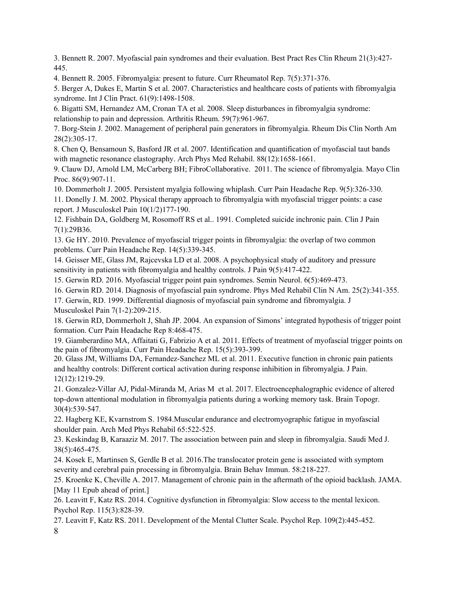3. Bennett R. 2007. Myofascial pain syndromes and their evaluation. Best Pract Res Clin Rheum 21(3):427- 445.

4. Bennett R. 2005. Fibromyalgia: present to future. Curr Rheumatol Rep. 7(5):371-376.

5. Berger A, Dukes E, Martin S et al. 2007. Characteristics and healthcare costs of patients with fibromyalgia syndrome. Int J Clin Pract. 61(9):1498-1508.

6. Bigatti SM, Hernandez AM, Cronan TA et al. 2008. Sleep disturbances in fibromyalgia syndrome: relationship to pain and depression. Arthritis Rheum. 59(7):961-967.

7. Borg-Stein J. 2002. Management of peripheral pain generators in fibromyalgia. Rheum Dis Clin North Am 28(2):305-17.

8. Chen Q, Bensamoun S, Basford JR et al. 2007. Identification and quantification of myofascial taut bands with magnetic resonance elastography. Arch Phys Med Rehabil. 88(12):1658-1661.

9. Clauw DJ, Arnold LM, McCarberg BH; FibroCollaborative. 2011. The science of fibromyalgia. Mayo Clin Proc. 86(9):907-11.

10. Dommerholt J. 2005. Persistent myalgia following whiplash. Curr Pain Headache Rep. 9(5):326-330.

11. Donelly J. M. 2002. Physical therapy approach to fibromyalgia with myofascial trigger points: a case report. J Musculoskel Pain 10(1/2)177-190.

12. Fishbain DA, Goldberg M, Rosomoff RS et al.. 1991. Completed suicide inchronic pain. Clin J Pain 7(1):29B36.

13. Ge HY. 2010. Prevalence of myofascial trigger points in fibromyalgia: the overlap of two common problems. Curr Pain Headache Rep. 14(5):339-345.

14. Geisser ME, Glass JM, Rajcevska LD et al. 2008. A psychophysical study of auditory and pressure sensitivity in patients with fibromyalgia and healthy controls. J Pain 9(5):417-422.

15. Gerwin RD. 2016. Myofascial trigger point pain syndromes. Semin Neurol. 6(5):469-473.

16. Gerwin RD. 2014. Diagnosis of myofascial pain syndrome. Phys Med Rehabil Clin N Am. 25(2):341-355.

17. Gerwin, RD. 1999. Differential diagnosis of myofascial pain syndrome and fibromyalgia. J Musculoskel Pain 7(1-2):209-215.

18. Gerwin RD, Dommerholt J, Shah JP. 2004. An expansion of Simons' integrated hypothesis of trigger point formation. Curr Pain Headache Rep 8:468-475.

19. Giamberardino MA, Affaitati G, Fabrizio A et al. 2011. Effects of treatment of myofascial trigger points on the pain of fibromyalgia. Curr Pain Headache Rep. 15(5):393-399.

20. Glass JM, Williams DA, Fernandez-Sanchez ML et al. 2011. Executive function in chronic pain patients and healthy controls: Different cortical activation during response inhibition in fibromyalgia. J Pain. 12(12):1219-29.

21. Gonzalez-Villar AJ, Pidal-Miranda M, Arias M et al. 2017. Electroencephalographic evidence of altered top-down attentional modulation in fibromyalgia patients during a working memory task. Brain Topogr. 30(4):539-547.

22. Hagberg KE, Kvarnstrom S. 1984.Muscular endurance and electromyographic fatigue in myofascial shoulder pain. Arch Med Phys Rehabil 65:522-525.

23. Keskindag B, Karaaziz M. 2017. The association between pain and sleep in fibromyalgia. Saudi Med J. 38(5):465-475.

24. Kosek E, Martinsen S, Gerdle B et al. 2016.The translocator protein gene is associated with symptom severity and cerebral pain processing in fibromyalgia. Brain Behav Immun. 58:218-227.

25. Kroenke K, Cheville A. 2017. Management of chronic pain in the aftermath of the opioid backlash. JAMA. [May 11 Epub ahead of print.]

26. Leavitt F, Katz RS. 2014. Cognitive dysfunction in fibromyalgia: Slow access to the mental lexicon. Psychol Rep. 115(3):828-39.

27. Leavitt F, Katz RS. 2011. Development of the Mental Clutter Scale. Psychol Rep. 109(2):445-452. 8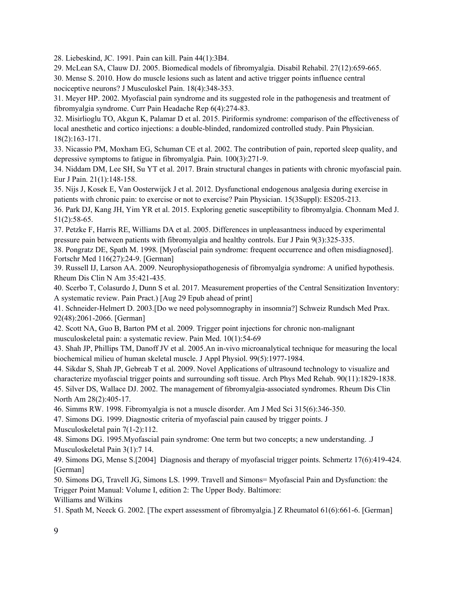28. Liebeskind, JC. 1991. Pain can kill. Pain 44(1):3B4.

29. McLean SA, Clauw DJ. 2005. Biomedical models of fibromyalgia. Disabil Rehabil. 27(12):659-665.

30. Mense S. 2010. How do muscle lesions such as latent and active trigger points influence central nociceptive neurons? J Musculoskel Pain. 18(4):348-353.

31. Meyer HP. 2002. Myofascial pain syndrome and its suggested role in the pathogenesis and treatment of fibromyalgia syndrome. Curr Pain Headache Rep 6(4):274-83.

32. Misirlioglu TO, Akgun K, Palamar D et al. 2015. Piriformis syndrome: comparison of the effectiveness of local anesthetic and cortico injections: a double-blinded, randomized controlled study. Pain Physician. 18(2):163-171.

33. Nicassio PM, Moxham EG, Schuman CE et al. 2002. The contribution of pain, reported sleep quality, and depressive symptoms to fatigue in fibromyalgia. Pain. 100(3):271-9.

34. Niddam DM, Lee SH, Su YT et al. 2017. Brain structural changes in patients with chronic myofascial pain. Eur J Pain. 21(1):148-158.

35. Nijs J, Kosek E, Van Oosterwijck J et al. 2012. Dysfunctional endogenous analgesia during exercise in patients with chronic pain: to exercise or not to exercise? Pain Physician. 15(3Suppl): ES205-213.

36. Park DJ, Kang JH, Yim YR et al. 2015. Exploring genetic susceptibility to fibromyalgia. Chonnam Med J. 51(2):58-65.

37. Petzke F, Harris RE, Williams DA et al. 2005. Differences in unpleasantness induced by experimental pressure pain between patients with fibromyalgia and healthy controls. Eur J Pain 9(3):325-335.

38. Pongratz DE, Spath M. 1998. [Myofascial pain syndrome: frequent occurrence and often misdiagnosed]. Fortschr Med 116(27):24-9. [German]

39. Russell IJ, Larson AA. 2009. Neurophysiopathogenesis of fibromyalgia syndrome: A unified hypothesis. Rheum Dis Clin N Am 35:421-435.

40. Scerbo T, Colasurdo J, Dunn S et al. 2017. Measurement properties of the Central Sensitization Inventory: A systematic review. Pain Pract.) [Aug 29 Epub ahead of print]

41. Schneider-Helmert D. 2003.[Do we need polysomnography in insomnia?] Schweiz Rundsch Med Prax. 92(48):2061-2066. [German]

42. Scott NA, Guo B, Barton PM et al. 2009. Trigger point injections for chronic non-malignant musculoskeletal pain: a systematic review. Pain Med. 10(1):54-69

43. Shah JP, Phillips TM, Danoff JV et al. 2005.An in-vivo microanalytical technique for measuring the local biochemical milieu of human skeletal muscle. J Appl Physiol. 99(5):1977-1984.

44. Sikdar S, Shah JP, Gebreab T et al. 2009. Novel Applications of ultrasound technology to visualize and characterize myofascial trigger points and surrounding soft tissue. Arch Phys Med Rehab. 90(11):1829-1838. 45. Silver DS, Wallace DJ. 2002. The management of fibromyalgia-associated syndromes. Rheum Dis Clin North Am 28(2):405-17.

46. Simms RW. 1998. Fibromyalgia is not a muscle disorder. Am J Med Sci 315(6):346-350.

47. Simons DG. 1999. Diagnostic criteria of myofascial pain caused by trigger points. J

Musculoskeletal pain 7(1-2):112.

48. Simons DG. 1995.Myofascial pain syndrome: One term but two concepts; a new understanding. .J Musculoskeletal Pain 3(1):7 14.

49. Simons DG, Mense S.[2004] Diagnosis and therapy of myofascial trigger points. Schmertz 17(6):419-424. [German]

50. Simons DG, Travell JG, Simons LS. 1999. Travell and Simons= Myofascial Pain and Dysfunction: the Trigger Point Manual: Volume I, edition 2: The Upper Body. Baltimore: Williams and Wilkins

51. Spath M, Neeck G. 2002. [The expert assessment of fibromyalgia.] Z Rheumatol 61(6):661-6. [German]